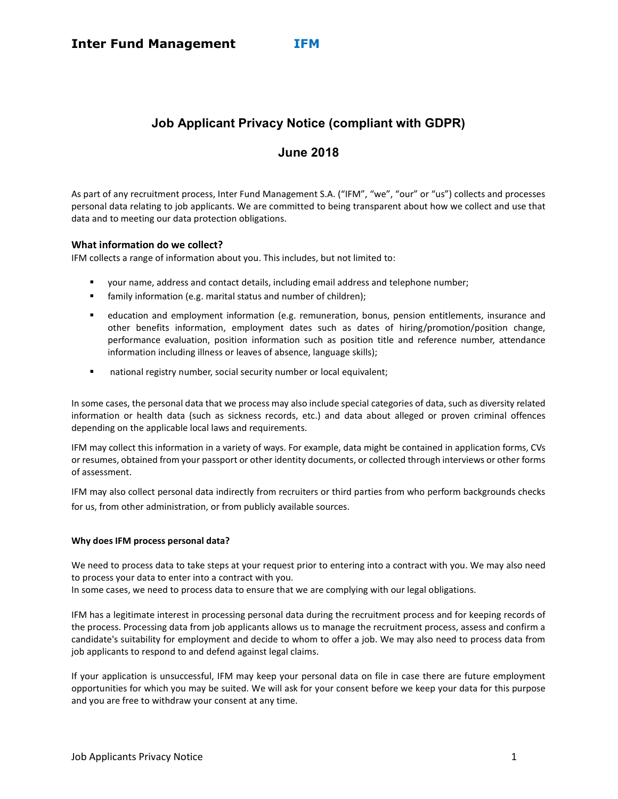# Job Applicant Privacy Notice (compliant with GDPR)

## June 2018

As part of any recruitment process, Inter Fund Management S.A. ("IFM", "we", "our" or "us") collects and processes personal data relating to job applicants. We are committed to being transparent about how we collect and use that data and to meeting our data protection obligations.

## What information do we collect?

IFM collects a range of information about you. This includes, but not limited to:

- your name, address and contact details, including email address and telephone number;
- family information (e.g. marital status and number of children);
- education and employment information (e.g. remuneration, bonus, pension entitlements, insurance and other benefits information, employment dates such as dates of hiring/promotion/position change, performance evaluation, position information such as position title and reference number, attendance information including illness or leaves of absence, language skills);
- national registry number, social security number or local equivalent;

In some cases, the personal data that we process may also include special categories of data, such as diversity related information or health data (such as sickness records, etc.) and data about alleged or proven criminal offences depending on the applicable local laws and requirements.

IFM may collect this information in a variety of ways. For example, data might be contained in application forms, CVs or resumes, obtained from your passport or other identity documents, or collected through interviews or other forms of assessment.

IFM may also collect personal data indirectly from recruiters or third parties from who perform backgrounds checks for us, from other administration, or from publicly available sources.

## Why does IFM process personal data?

We need to process data to take steps at your request prior to entering into a contract with you. We may also need to process your data to enter into a contract with you.

In some cases, we need to process data to ensure that we are complying with our legal obligations.

IFM has a legitimate interest in processing personal data during the recruitment process and for keeping records of the process. Processing data from job applicants allows us to manage the recruitment process, assess and confirm a candidate's suitability for employment and decide to whom to offer a job. We may also need to process data from job applicants to respond to and defend against legal claims.

If your application is unsuccessful, IFM may keep your personal data on file in case there are future employment opportunities for which you may be suited. We will ask for your consent before we keep your data for this purpose and you are free to withdraw your consent at any time.